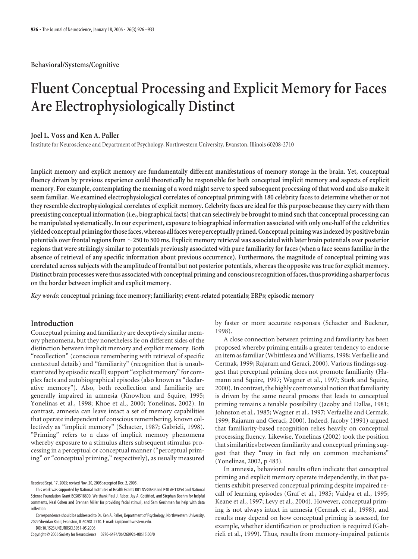## **Behavioral/Systems/Cognitive**

# **Fluent Conceptual Processing and Explicit Memory for Faces Are Electrophysiologically Distinct**

## **Joel L. Voss and Ken A. Paller**

Institute for Neuroscience and Department of Psychology, Northwestern University, Evanston, Illinois 60208-2710

**Implicit memory and explicit memory are fundamentally different manifestations of memory storage in the brain. Yet, conceptual fluency driven by previous experience could theoretically be responsible for both conceptual implicit memory and aspects of explicit memory. For example, contemplating the meaning of a word might serve to speed subsequent processing of that word and also make it seem familiar. We examined electrophysiological correlates of conceptual priming with 180 celebrity faces to determine whether or not they resemble electrophysiological correlates of explicit memory. Celebrity faces are ideal for this purpose because they carry with them preexisting conceptual information (i.e., biographical facts) that can selectively be brought to mind such that conceptual processing can be manipulated systematically. In our experiment, exposure to biographical information associated with only one-half of the celebrities yielded conceptual primingforthosefaces, whereas allfaces were perceptually primed. Conceptual priming wasindexed by positive brain potentials over frontal regions from 250 to 500 ms. Explicit memory retrieval was associated with later brain potentials over posterior regions that were strikingly similar to potentials previously associated with pure familiarity for faces (when a face seems familiar in the absence of retrieval of any specific information about previous occurrence). Furthermore, the magnitude of conceptual priming was correlated across subjects with the amplitude of frontal but not posterior potentials, whereas the opposite was true for explicit memory.** Distinct brain processes were thus associated with conceptual priming and conscious recognition of faces, thus providing a sharper focus **on the border between implicit and explicit memory.**

*Key words:***conceptual priming; face memory; familiarity; event-related potentials; ERPs; episodic memory**

# **Introduction**

Conceptual priming and familiarity are deceptively similar memory phenomena, but they nonetheless lie on different sides of the distinction between implicit memory and explicit memory. Both "recollection" (conscious remembering with retrieval of specific contextual details) and "familiarity" (recognition that is unsubstantiated by episodic recall) support "explicit memory" for complex facts and autobiographical episodes (also known as "declarative memory"). Also, both recollection and familiarity are generally impaired in amnesia (Knowlton and Squire, 1995; Yonelinas et al., 1998; Khoe et al., 2000; Yonelinas, 2002). In contrast, amnesia can leave intact a set of memory capabilities that operate independent of conscious remembering, known collectively as "implicit memory" (Schacter, 1987; Gabrieli, 1998). "Priming" refers to a class of implicit memory phenomena whereby exposure to a stimulus alters subsequent stimulus processing in a perceptual or conceptual manner ("perceptual priming" or "conceptual priming," respectively), as usually measured

DOI:10.1523/JNEUROSCI.3931-05.2006

Copyright © 2006 Society for Neuroscience 0270-6474/06/260926-08\$15.00/0

by faster or more accurate responses (Schacter and Buckner, 1998).

A close connection between priming and familiarity has been proposed whereby priming entails a greater tendency to endorse an item as familiar (Whittlesea and Williams, 1998; Verfaellie and Cermak, 1999; Rajaram and Geraci, 2000). Various findings suggest that perceptual priming does not promote familiarity (Hamann and Squire, 1997; Wagner et al., 1997; Stark and Squire, 2000). In contrast, the highly controversial notion that familiarity is driven by the same neural process that leads to conceptual priming remains a tenable possibility (Jacoby and Dallas, 1981; Johnston et al., 1985; Wagner et al., 1997; Verfaellie and Cermak, 1999; Rajaram and Geraci, 2000). Indeed, Jacoby (1991) argued that familiarity-based recognition relies heavily on conceptual processing fluency. Likewise, Yonelinas (2002) took the position that similarities between familiarity and conceptual priming suggest that they "may in fact rely on common mechanisms" (Yonelinas, 2002, p 483).

In amnesia, behavioral results often indicate that conceptual priming and explicit memory operate independently, in that patients exhibit preserved conceptual priming despite impaired recall of learning episodes (Graf et al., 1985; Vaidya et al., 1995; Keane et al., 1997; Levy et al., 2004). However, conceptual priming is not always intact in amnesia (Cermak et al., 1998), and results may depend on how conceptual priming is assessed, for example, whether identification or production is required (Gabrieli et al., 1999). Thus, results from memory-impaired patients

Received Sept. 17, 2005; revised Nov. 20, 2005; accepted Dec. 2, 2005.

This work was supported by National Institutes of Health Grants R01 NS34639 and P30 AG13854 and National Science Foundation Grant BCS0518800. We thank Paul J. Reber, Jay A. Gottfried, and Stephan Boehm for helpful comments, Neal Cohen and Brennan Miller for providing facial stimuli, and Sam Gershman for help with data collection.

Correspondence should be addressed to Dr. Ken A. Paller, Department of Psychology, Northwestern University, 2029 Sheridan Road, Evanston, IL 60208-2710. E-mail: kap@northwestern.edu.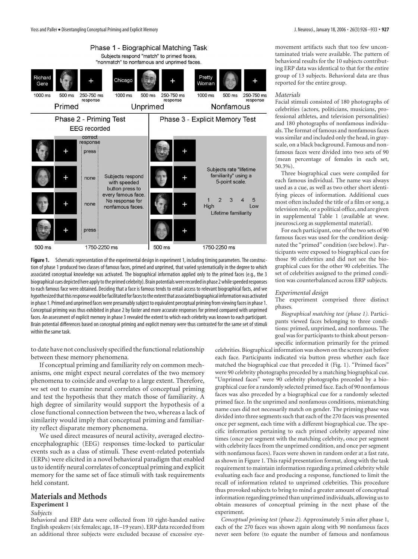

Figure 1. Schematic representation of the experimental design in experiment 1, including timing parameters. The construction of phase 1 produced two classes of famous faces, primed and unprimed, that varied systematically in the degree to which associated conceptual knowledge was activated. The biographical information applied only to the primed faces (e.g., the 3 biographical cues depicted here apply to the primed celebrity). Brain potentials were recorded in phase 2 while speeded responses to each famous face were obtained. Deciding that a face is famous tends to entail access to relevant biographical facts, and we hypothesized that this response would be facilitated for faces to the extent that associated biographical information was activated in phase 1. Primed and unprimed faces were presumablysubject to equivalent perceptual priming from viewing faces in phase 1. Conceptual priming was thus exhibited in phase 2 by faster and more accurate responses for primed compared with unprimed

faces. An assessment of explicit memory in phase 3 revealed the extent to which each celebrity was known to each participant. Brain potential differences based on conceptual priming and explicit memory were thus contrasted for the same set of stimuli

to date have not conclusively specified the functional relationship between these memory phenomena.

If conceptual priming and familiarity rely on common mechanisms, one might expect neural correlates of the two memory phenomena to coincide and overlap to a large extent. Therefore, we set out to examine neural correlates of conceptual priming and test the hypothesis that they match those of familiarity. A high degree of similarity would support the hypothesis of a close functional connection between the two, whereas a lack of similarity would imply that conceptual priming and familiarity reflect disparate memory phenomena.

We used direct measures of neural activity, averaged electroencephalographic (EEG) responses time-locked to particular events such as a class of stimuli. These event-related potentials (ERPs) were elicited in a novel behavioral paradigm that enabled us to identify neural correlates of conceptual priming and explicit memory for the same set of face stimuli with task requirements held constant.

# **Materials and Methods Experiment 1**

#### *Subjects*

within the same task.

Behavioral and ERP data were collected from 10 right-handed native English speakers (six females; age, 18 –19 years). ERP data recorded from an additional three subjects were excluded because of excessive eyemovement artifacts such that too few uncontaminated trials were available. The pattern of behavioral results for the 10 subjects contributing ERP data was identical to that for the entire group of 13 subjects. Behavioral data are thus reported for the entire group.

#### *Materials*

Facial stimuli consisted of 180 photographs of celebrities (actors, politicians, musicians, professional athletes, and television personalities) and 180 photographs of nonfamous individuals. The format of famous and nonfamous faces was similar and included only the head, in grayscale, on a black background. Famous and nonfamous faces were divided into two sets of 90 (mean percentage of females in each set, 50.3%).

Three biographical cues were compiled for each famous individual. The name was always used as a cue, as well as two other short identifying pieces of information. Additional cues most often included the title of a film or song, a television role, or a political office, and are given in supplemental Table 1 (available at www. jneurosci.org as supplemental material).

For each participant, one of the two sets of 90 famous faces was used for the condition designated the "primed" condition (see below). Participants were exposed to biographical cues for those 90 celebrities and did not see the biographical cues for the other 90 celebrities. The set of celebrities assigned to the primed condition was counterbalanced across ERP subjects.

#### *Experimental design*

The experiment comprised three distinct phases.

*Biographical matching test (phase 1).* Participants viewed faces belonging to three conditions: primed, unprimed, and nonfamous. The goal was for participants to think about personspecific information primarily for the primed

celebrities. Biographical information was shown on the screen just before each face. Participants indicated via button press whether each face matched the biographical cue that preceded it (Fig. 1). "Primed faces" were 90 celebrity photographs preceded by a matching biographical cue. "Unprimed faces" were 90 celebrity photographs preceded by a biographical cue for a randomly selected primed face. Each of 90 nonfamous faces was also preceded by a biographical cue for a randomly selected primed face. In the unprimed and nonfamous conditions, mismatching name cues did not necessarily match on gender. The priming phase was divided into three segments such that each of the 270 faces was presented once per segment, each time with a different biographical cue. The specific information pertaining to each primed celebrity appeared nine times (once per segment with the matching celebrity, once per segment with celebrity faces from the unprimed condition, and once per segment with nonfamous faces). Faces were shown in random order at a fast rate, as shown in Figure 1. This rapid presentation format, along with the task requirement to maintain information regarding a primed celebrity while evaluating each face and producing a response, functioned to limit the recall of information related to unprimed celebrities. This procedure thus provoked subjects to bring to mind a greater amount of conceptual information regarding primed than unprimed individuals, allowing us to obtain measures of conceptual priming in the next phase of the experiment.

*Conceptual priming test (phase 2).* Approximately 5 min after phase 1, each of the 270 faces was shown again along with 90 nonfamous faces never seen before (to equate the number of famous and nonfamous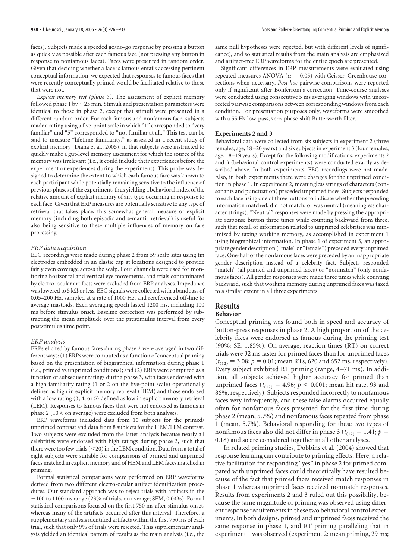faces). Subjects made a speeded go/no-go response by pressing a button as quickly as possible after each famous face (not pressing any button in response to nonfamous faces). Faces were presented in random order. Given that deciding whether a face is famous entails accessing pertinent conceptual information, we expected that responses to famous faces that were recently conceptually primed would be facilitated relative to those that were not.

*Explicit memory test (phase 3).* The assessment of explicit memory followed phase 1 by  $\sim$  25 min. Stimuli and presentation parameters were identical to those in phase 2, except that stimuli were presented in a different random order. For each famous and nonfamous face, subjects made a rating using a five-point scale in which "1" corresponded to "very familiar" and "5" corresponded to "not familiar at all." This test can be said to measure "lifetime familiarity," as assessed in a recent study of explicit memory (Diana et al., 2005), in that subjects were instructed to quickly make a gut-level memory assessment for which the source of the memory was irrelevant (i.e., it could include their experiences before the experiment or experiences during the experiment). This probe was designed to determine the extent to which each famous face was known to each participant while potentially remaining sensitive to the influence of previous phases of the experiment, thus yielding a behavioral index of the relative amount of explicit memory of any type occurring in response to each face. Given that ERP measures are potentially sensitive to any type of retrieval that takes place, this somewhat general measure of explicit memory (including both episodic and semantic retrieval) is useful for also being sensitive to these multiple influences of memory on face processing.

#### *ERP data acquisition*

EEG recordings were made during phase 2 from 59 scalp sites using tin electrodes embedded in an elastic cap at locations designed to provide fairly even coverage across the scalp. Four channels were used for monitoring horizontal and vertical eye movements, and trials contaminated by electro-ocular artifacts were excluded from ERP analyses. Impedance was lowered to 5 k $\Omega$  or less. EEG signals were collected with a bandpass of 0.05–200 Hz, sampled at a rate of 1000 Hz, and rereferenced off-line to average mastoids. Each averaging epoch lasted 1200 ms, including 100 ms before stimulus onset. Baseline correction was performed by subtracting the mean amplitude over the prestimulus interval from every poststimulus time point.

#### *ERP analysis*

ERPs elicited by famous faces during phase 2 were averaged in two different ways: (1) ERPs were computed as a function of conceptual priming based on the presentation of biographical information during phase 1 (i.e., primed vs unprimed conditions); and (2) ERPs were computed as a function of subsequent ratings during phase 3, with faces endorsed with a high familiarity rating (1 or 2 on the five-point scale) operationally defined as high in explicit memory retrieval (HEM) and those endorsed with a low rating (3, 4, or 5) defined as low in explicit memory retrieval (LEM). Responses to famous faces that were not endorsed as famous in phase 2 (10% on average) were excluded from both analyses.

ERP waveforms included data from 10 subjects for the primed/ unprimed contrast and data from 8 subjects for the HEM/LEM contrast. Two subjects were excluded from the latter analysis because nearly all celebrities were endorsed with high ratings during phase 3, such that there were too few trials  $(<$  20) in the LEM condition. Data from a total of eight subjects were suitable for comparisons of primed and unprimed faces matched in explicit memory and of HEM and LEM faces matched in priming.

Formal statistical comparisons were performed on ERP waveforms derived from two different electro-ocular artifact identification procedures. Our standard approach was to reject trials with artifacts in the  $-100$  to  $1100$  ms range (23% of trials, on average; SEM, 0.04%). Formal statistical comparisons focused on the first 750 ms after stimulus onset, whereas many of the artifacts occurred after this interval. Therefore, a supplementary analysis identified artifacts within the first 750 ms of each trial, such that only 9% of trials were rejected. This supplementary analysis yielded an identical pattern of results as the main analysis (i.e., the

same null hypotheses were rejected, but with different levels of significance), and so statistical results from the main analysis are emphasized and artifact-free ERP waveforms for the entire epoch are presented.

Significant differences in ERP measurements were evaluated using repeated-measures ANOVA ( $\alpha = 0.05$ ) with Geisser–Greenhouse corrections when necessary. *Post hoc* pairwise comparisons were reported only if significant after Bonferroni's correction. Time-course analyses were conducted using consecutive 5 ms averaging windows with uncorrected pairwise comparisons between corresponding windows from each condition. For presentation purposes only, waveforms were smoothed with a 55 Hz low-pass, zero-phase-shift Butterworth filter.

#### **Experiments 2 and 3**

Behavioral data were collected from six subjects in experiment 2 (three females; age, 18 –20 years) and six subjects in experiment 3 (four females; age, 18 –19 years). Except for the following modifications, experiments 2 and 3 (behavioral control experiments) were conducted exactly as described above. In both experiments, EEG recordings were not made. Also, in both experiments there were changes for the unprimed condition in phase 1. In experiment 2, meaningless strings of characters (consonants and punctuation) preceded unprimed faces. Subjects responded to each face using one of three buttons to indicate whether the preceding information matched, did not match, or was neutral (meaningless character strings). "Neutral" responses were made by pressing the appropriate response button three times while counting backward from three, such that recall of information related to unprimed celebrities was minimized by taxing working memory, as accomplished in experiment 1 using biographical information. In phase 1 of experiment 3, an appropriate gender description ("male" or "female") preceded every unprimed face. One-half of the nonfamous faces were preceded by an inappropriate gender description instead of a celebrity fact. Subjects responded "match" (all primed and unprimed faces) or "nonmatch" (only nonfamous faces). All gender responses were made three times while counting backward, such that working memory during unprimed faces was taxed to a similar extent in all three experiments.

# **Results**

## **Behavior**

Conceptual priming was found both in speed and accuracy of button-press responses in phase 2. A high proportion of the celebrity faces were endorsed as famous during the priming test (90%; SE, 1.85%). On average, reaction times (RT) on correct trials were 32 ms faster for primed faces than for unprimed faces  $(t_{(12)} = 3.08; p = 0.01; \text{ mean RTs}, 620 \text{ and } 652 \text{ ms}, \text{ respectively}).$ Every subject exhibited RT priming (range, 4 –71 ms). In addition, all subjects achieved higher accuracy for primed than unprimed faces ( $t_{(12)} = 4.96$ ;  $p < 0.001$ ; mean hit rate, 93 and 86%, respectively). Subjects responded incorrectly to nonfamous faces very infrequently, and these false alarms occurred equally often for nonfamous faces presented for the first time during phase 2 (mean, 5.7%) and nonfamous faces repeated from phase 1 (mean, 5.7%). Behavioral responding for these two types of nonfamous faces also did not differ in phase 3 ( $t_{(12)} = 1.41$ ;  $p =$ 0.18) and so are considered together in all other analyses.

In related priming studies, Dobbins et al. (2004) showed that response learning can contribute to priming effects. Here, a relative facilitation for responding "yes" in phase 2 for primed compared with unprimed faces could theoretically have resulted because of the fact that primed faces received match responses in phase 1 whereas unprimed faces received nonmatch responses. Results from experiments 2 and 3 ruled out this possibility, because the same magnitude of priming was observed using different response requirements in these two behavioral control experiments. In both designs, primed and unprimed faces received the same response in phase 1, and RT priming paralleling that in experiment 1 was observed (experiment 2: mean priming, 29 ms;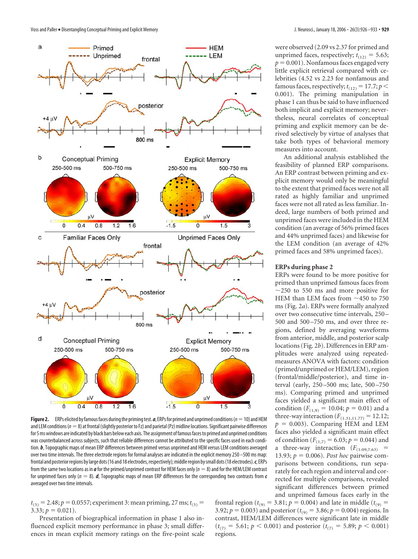

**Figure 2.** ERPs elicited by famous faces during the priming test.  $a$ , ERPs for primed and unprimed conditions ( $n = 10$ ) and HEM and LEM conditions ( $n = 8$ ) at frontal (slightly posterior to Fz) and parietal (Pz) midline locations. Significant pairwise differences for 5ms windows are indicated by black bars below each axis. The assignment of famous facesto primed and unprimed conditions was counterbalanced across subjects, such that reliable differences cannot be attributed to the specific faces used in each condition. *b*, Topographic maps of mean ERP differences between primed versus unprimed and HEM versus LEM conditions averaged over two time intervals. The three electrode regions for formal analyses are indicated in the explicit memory 250 –500 ms map: frontal and posterior regions by large dots (16 and 18 electrodes, respectively); middle region by small dots (18 electrodes).  $c$ , ERPs from the same two locations as in  $a$  for the primed/unprimed contrast for HEM faces only ( $n = 8$ ) and for the HEM/LEM contrast for unprimed faces only (*n* 8). *d*, Topographic maps of mean ERP differences for the corresponding two contrasts from *c* averaged over two time intervals.

 $t_{(5)} = 2.48; p = 0.0557;$  experiment 3: mean priming, 27 ms;  $t_{(5)} =$  $3.33; p = 0.021$ .

Presentation of biographical information in phase 1 also influenced explicit memory performance in phase 3; small differences in mean explicit memory ratings on the five-point scale were observed (2.09 vs 2.37 for primed and unprimed faces, respectively;  $t_{(12)} = 5.63$ ;  $p = 0.001$ ). Nonfamous faces engaged very little explicit retrieval compared with celebrities (4.52 vs 2.23 for nonfamous and famous faces, respectively;  $t_{(12)} = 17.7; p <$ 0.001). The priming manipulation in phase 1 can thus be said to have influenced both implicit and explicit memory; nevertheless, neural correlates of conceptual priming and explicit memory can be derived selectively by virtue of analyses that take both types of behavioral memory measures into account.

An additional analysis established the feasibility of planned ERP comparisons. An ERP contrast between priming and explicit memory would only be meaningful to the extent that primed faces were not all rated as highly familiar and unprimed faces were not all rated as less familiar. Indeed, large numbers of both primed and unprimed faces were included in the HEM condition (an average of 56% primed faces and 44% unprimed faces) and likewise for the LEM condition (an average of 42% primed faces and 58% unprimed faces).

#### **ERPs during phase 2**

ERPs were found to be more positive for primed than unprimed famous faces from  $\sim$ 250 to 550 ms and more positive for HEM than LEM faces from  $\sim$ 450 to 750 ms (Fig. 2*a*). ERPs were formally analyzed over two consecutive time intervals, 250 – 500 and 500 –750 ms, and over three regions, defined by averaging waveforms from anterior, middle, and posterior scalp locations (Fig. 2*b*). Differences in ERP amplitudes were analyzed using repeatedmeasures ANOVA with factors: condition (primed/unprimed or HEM/LEM), region (frontal/middle/posterior), and time interval (early, 250 –500 ms; late, 500 –750 ms). Comparing primed and unprimed faces yielded a significant main effect of condition ( $F_{(1,9)} = 10.04; p = 0.01$ ) and a three-way interaction  $(F_{(1,31,11.77)} = 12.12;$  $p = 0.003$ ). Comparing HEM and LEM faces also yielded a significant main effect of condition ( $F_{(1,7)} = 6.03$ ;  $p = 0.044$ ) and a three-way interaction  $(F<sub>(1.09,7.63)</sub>)$  = 13.93;  $p = 0.006$ ). *Post hoc* pairwise comparisons between conditions, run separately for each region and interval and corrected for multiple comparisons, revealed significant differences between primed and unprimed famous faces early in the

frontal region ( $t_{(9)} = 3.81$ ;  $p = 0.004$ ) and late in middle ( $t_{(9)} =$ 3.92;  $p = 0.003$ ) and posterior ( $t_{(9)} = 3.86$ ;  $p = 0.004$ ) regions. In contrast, HEM/LEM differences were significant late in middle  $(t_{(7)} = 5.61; p < 0.001)$  and posterior  $(t_{(7)} = 5.89; p < 0.001)$ regions.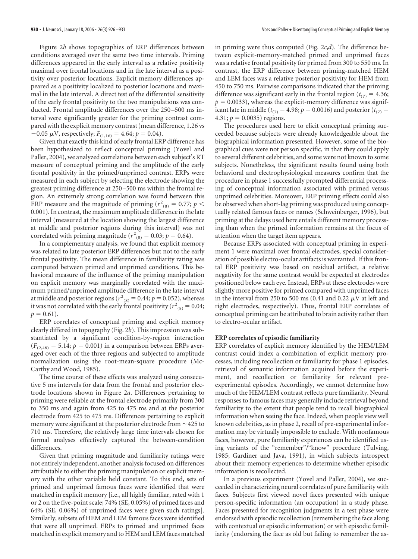Figure 2*b* shows topographies of ERP differences between conditions averaged over the same two time intervals. Priming differences appeared in the early interval as a relative positivity maximal over frontal locations and in the late interval as a positivity over posterior locations. Explicit memory differences appeared as a positivity localized to posterior locations and maximal in the late interval. A direct test of the differential sensitivity of the early frontal positivity to the two manipulations was conducted. Frontal amplitude differences over the 250 –500 ms interval were significantly greater for the priming contrast compared with the explicit memory contrast (mean difference, 1.26 vs  $-0.05 \mu$ V, respectively;  $F_{(1,16)} = 4.64; p = 0.04$ .

Given that exactly this kind of early frontal ERP difference has been hypothesized to reflect conceptual priming (Yovel and Paller, 2004), we analyzed correlations between each subject's RT measure of conceptual priming and the amplitude of the early frontal positivity in the primed/unprimed contrast. ERPs were measured in each subject by selecting the electrode showing the greatest priming difference at 250 –500 ms within the frontal region. An extremely strong correlation was found between this ERP measure and the magnitude of priming ( $r^2_{(8)} = 0.77; p <$ 0.001). In contrast, the maximum amplitude difference in the late interval (measured at the location showing the largest difference at middle and posterior regions during this interval) was not correlated with priming magnitude ( $r^2$ <sub>(8)</sub> = 0.03;  $p = 0.64$ ).

In a complementary analysis, we found that explicit memory was related to late posterior ERP differences but not to the early frontal positivity. The mean difference in familiarity rating was computed between primed and unprimed conditions. This behavioral measure of the influence of the priming manipulation on explicit memory was marginally correlated with the maximum primed/unprimed amplitude difference in the late interval at middle and posterior regions ( $r^2_{(8)} = 0.44; p = 0.052$ ), whereas it was not correlated with the early frontal positivity ( $r^2_{(8)} = 0.04$ ;  $p = 0.61$ ).

ERP correlates of conceptual priming and explicit memory clearly differed in topography (Fig. 2*b*). This impression was substantiated by a significant condition-by-region interaction  $(F_{(2,48)} = 5.14; p = 0.001)$  in a comparison between ERPs averaged over each of the three regions and subjected to amplitude normalization using the root-mean-square procedure (Mc-Carthy and Wood, 1985).

The time course of these effects was analyzed using consecutive 5 ms intervals for data from the frontal and posterior electrode locations shown in Figure 2*a*. Differences pertaining to priming were reliable at the frontal electrode primarily from 300 to 350 ms and again from 425 to 475 ms and at the posterior electrode from 425 to 475 ms. Differences pertaining to explicit memory were significant at the posterior electrode from  $\sim$ 425 to 710 ms. Therefore, the relatively large time intervals chosen for formal analyses effectively captured the between-condition differences.

Given that priming magnitude and familiarity ratings were not entirely independent, another analysis focused on differences attributable to either the priming manipulation or explicit memory with the other variable held constant. To this end, sets of primed and unprimed famous faces were identified that were matched in explicit memory [i.e., all highly familiar, rated with 1 or 2 on the five-point scale; 74% (SE, 0.05%) of primed faces and 64% (SE, 0.06%) of unprimed faces were given such ratings]. Similarly, subsets of HEM and LEM famous faces were identified that were all unprimed. ERPs to primed and unprimed faces matched in explicit memory and to HEM and LEM faces matched

in priming were thus computed (Fig. 2*c*,*d*). The difference between explicit-memory-matched primed and unprimed faces was a relative frontal positivity for primed from 300 to 550 ms. In contrast, the ERP difference between priming-matched HEM and LEM faces was a relative posterior positivity for HEM from 450 to 750 ms. Pairwise comparisons indicated that the priming difference was significant early in the frontal region ( $t_{(7)} = 4.36$ ;  $p = 0.0033$ , whereas the explicit-memory difference was significant late in middle ( $t_{(7)} = 4.98; p = 0.0016$ ) and posterior ( $t_{(7)} =$ 4.31;  $p = 0.0035$ ) regions.

The procedures used here to elicit conceptual priming succeeded because subjects were already knowledgeable about the biographical information presented. However, some of the biographical cues were not person specific, in that they could apply to several different celebrities, and some were not known to some subjects. Nonetheless, the significant results found using both behavioral and electrophysiological measures confirm that the procedure in phase 1 successfully prompted differential processing of conceptual information associated with primed versus unprimed celebrities. Moreover, ERP priming effects could also be observed when short-lag priming was produced using conceptually related famous faces or names (Schweinberger, 1996), but priming at the delays used here entails different memory processing than when the primed information remains at the focus of attention when the target item appears.

Because ERPs associated with conceptual priming in experiment 1 were maximal over frontal electrodes, special consideration of possible electro-ocular artifacts is warranted. If this frontal ERP positivity was based on residual artifact, a relative negativity for the same contrast would be expected at electrodes positioned below each eye. Instead, ERPs at these electrodes were slightly more positive for primed compared with unprimed faces in the interval from 250 to 500 ms (0.41 and 0.22  $\mu\mathrm{V}$  at left and right electrodes, respectively). Thus, frontal ERP correlates of conceptual priming can be attributed to brain activity rather than to electro-ocular artifact.

## **ERP correlates of episodic familiarity**

ERP correlates of explicit memory identified by the HEM/LEM contrast could index a combination of explicit memory processes, including recollection or familiarity for phase 1 episodes, retrieval of semantic information acquired before the experiment, and recollection or familiarity for relevant preexperimental episodes. Accordingly, we cannot determine how much of the HEM/LEM contrast reflects pure familiarity. Neural responses to famous faces may generally include retrieval beyond familiarity to the extent that people tend to recall biographical information when seeing the face. Indeed, when people view well known celebrities, as in phase 2, recall of pre-experimental information may be virtually impossible to exclude. With nonfamous faces, however, pure familiarity experiences can be identified using variants of the "remember"/"know" procedure (Tulving, 1985; Gardiner and Java, 1991), in which subjects introspect about their memory experiences to determine whether episodic information is recollected.

In a previous experiment (Yovel and Paller, 2004), we succeeded in characterizing neural correlates of pure familiarity with faces. Subjects first viewed novel faces presented with unique person-specific information (an occupation) in a study phase. Faces presented for recognition judgments in a test phase were endorsed with episodic recollection (remembering the face along with contextual or episodic information) or with episodic familiarity (endorsing the face as old but failing to remember the as-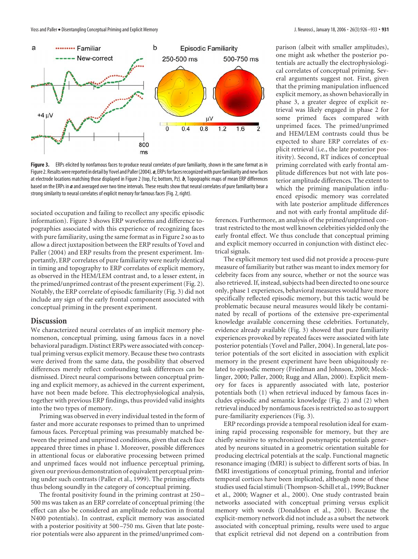

Figure 3. ERPs elicited by nonfamous faces to produce neural correlates of pure familiarity, shown in the same format as in Figure 2. Results were reported in detail by Yovel and Paller (2004). *a*, ERPs for faces recognized with pure familiarity and new faces at electrode locations matching those displayed in Figure 2 (top, Fz; bottom, Pz). *b*, Topographic maps of mean ERP differences based on the ERPs in *a* and averaged over two time intervals. These results show that neural correlates of pure familiarity bear a strong similarity to neural correlates of explicit memory for famous faces (Fig. 2, right).

sociated occupation and failing to recollect any specific episodic information). Figure 3 shows ERP waveforms and difference topographies associated with this experience of recognizing faces with pure familiarity, using the same format as in Figure 2 so as to allow a direct juxtaposition between the ERP results of Yovel and Paller (2004) and ERP results from the present experiment. Importantly, ERP correlates of pure familiarity were nearly identical in timing and topography to ERP correlates of explicit memory, as observed in the HEM/LEM contrast and, to a lesser extent, in the primed/unprimed contrast of the present experiment (Fig. 2). Notably, the ERP correlate of episodic familiarity (Fig. 3) did not include any sign of the early frontal component associated with conceptual priming in the present experiment.

# **Discussion**

We characterized neural correlates of an implicit memory phenomenon, conceptual priming, using famous faces in a novel behavioral paradigm. Distinct ERPs were associated with conceptual priming versus explicit memory. Because these two contrasts were derived from the same data, the possibility that observed differences merely reflect confounding task differences can be dismissed. Direct neural comparisons between conceptual priming and explicit memory, as achieved in the current experiment, have not been made before. This electrophysiological analysis, together with previous ERP findings, thus provided valid insights into the two types of memory.

Priming was observed in every individual tested in the form of faster and more accurate responses to primed than to unprimed famous faces. Perceptual priming was presumably matched between the primed and unprimed conditions, given that each face appeared three times in phase 1. Moreover, possible differences in attentional focus or elaborative processing between primed and unprimed faces would not influence perceptual priming, given our previous demonstration of equivalent perceptual priming under such contrasts (Paller et al., 1999). The priming effects thus belong soundly in the category of conceptual priming.

The frontal positivity found in the priming contrast at 250 – 500 ms was taken as an ERP correlate of conceptual priming (the effect can also be considered an amplitude reduction in frontal N400 potentials). In contrast, explicit memory was associated with a posterior positivity at 500 –750 ms. Given that late posterior potentials were also apparent in the primed/unprimed comparison (albeit with smaller amplitudes), one might ask whether the posterior potentials are actually the electrophysiological correlates of conceptual priming. Several arguments suggest not. First, given that the priming manipulation influenced explicit memory, as shown behaviorally in phase 3, a greater degree of explicit retrieval was likely engaged in phase 2 for some primed faces compared with unprimed faces. The primed/unprimed and HEM/LEM contrasts could thus be expected to share ERP correlates of explicit retrieval (i.e., the late posterior positivity). Second, RT indices of conceptual priming correlated with early frontal amplitude differences but not with late posterior amplitude differences. The extent to which the priming manipulation influenced episodic memory was correlated with late posterior amplitude differences and not with early frontal amplitude dif-

ferences. Furthermore, an analysis of the primed/unprimed contrast restricted to the most well known celebrities yielded only the early frontal effect. We thus conclude that conceptual priming and explicit memory occurred in conjunction with distinct electrical signals.

The explicit memory test used did not provide a process-pure measure of familiarity but rather was meant to index memory for celebrity faces from any source, whether or not the source was also retrieved. If, instead, subjects had been directed to one source only, phase 1 experiences, behavioral measures would have more specifically reflected episodic memory, but this tactic would be problematic because neural measures would likely be contaminated by recall of portions of the extensive pre-experimental knowledge available concerning these celebrities. Fortunately, evidence already available (Fig. 3) showed that pure familiarity experiences provoked by repeated faces were associated with late posterior potentials (Yovel and Paller, 2004). In general, late posterior potentials of the sort elicited in association with explicit memory in the present experiment have been ubiquitously related to episodic memory (Friedman and Johnson, 2000; Mecklinger, 2000; Paller, 2000; Rugg and Allan, 2000). Explicit memory for faces is apparently associated with late, posterior potentials both (1) when retrieval induced by famous faces includes episodic and semantic knowledge (Fig. 2) and (2) when retrieval induced by nonfamous faces is restricted so as to support pure-familiarity experiences (Fig. 3).

ERP recordings provide a temporal resolution ideal for examining rapid processing responsible for memory, but they are chiefly sensitive to synchronized postsynaptic potentials generated by neurons situated in a geometric orientation suitable for producing electrical potentials at the scalp. Functional magnetic resonance imaging (fMRI) is subject to different sorts of bias. In fMRI investigations of conceptual priming, frontal and inferior temporal cortices have been implicated, although none of these studies used facial stimuli (Thompson-Schill et al., 1999; Buckner et al., 2000; Wagner et al., 2000). One study contrasted brain networks associated with conceptual priming versus explicit memory with words (Donaldson et al., 2001). Because the explicit-memory network did not include as a subset the network associated with conceptual priming, results were used to argue that explicit retrieval did not depend on a contribution from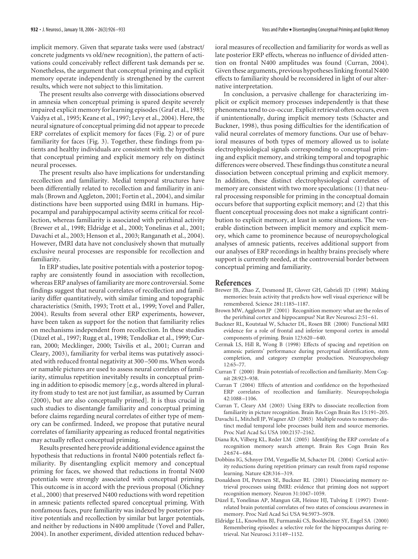implicit memory. Given that separate tasks were used (abstract/ concrete judgments vs old/new recognition), the pattern of activations could conceivably reflect different task demands per se. Nonetheless, the argument that conceptual priming and explicit memory operate independently is strengthened by the current results, which were not subject to this limitation.

The present results also converge with dissociations observed in amnesia when conceptual priming is spared despite severely impaired explicit memory for learning episodes (Graf et al., 1985; Vaidya et al., 1995; Keane et al., 1997; Levy et al., 2004). Here, the neural signature of conceptual priming did not appear to precede ERP correlates of explicit memory for faces (Fig. 2) or of pure familiarity for faces (Fig. 3). Together, these findings from patients and healthy individuals are consistent with the hypothesis that conceptual priming and explicit memory rely on distinct neural processes.

The present results also have implications for understanding recollection and familiarity. Medial temporal structures have been differentially related to recollection and familiarity in animals (Brown and Aggleton, 2001; Fortin et al., 2004), and similar distinctions have been supported using fMRI in humans. Hippocampal and parahippocampal activity seems critical for recollection, whereas familiarity is associated with perirhinal activity (Brewer et al., 1998; Eldridge et al., 2000; Yonelinas et al., 2001; Davachi et al., 2003; Henson et al., 2003; Ranganath et al., 2004). However, fMRI data have not conclusively shown that mutually exclusive neural processes are responsible for recollection and familiarity.

In ERP studies, late positive potentials with a posterior topography are consistently found in association with recollection, whereas ERP analyses of familiarity are more controversial. Some findings suggest that neural correlates of recollection and familiarity differ quantitatively, with similar timing and topographic characteristics (Smith, 1993; Trott et al., 1999; Yovel and Paller, 2004). Results from several other ERP experiments, however, have been taken as support for the notion that familiarity relies on mechanisms independent from recollection. In these studies (Düzel et al., 1997; Rugg et al., 1998; Tendolkar et al., 1999; Curran, 2000; Mecklinger, 2000; Tsivilis et al., 2001; Curran and Cleary, 2003), familiarity for verbal items was putatively associated with reduced frontal negativity at 300 –500 ms. When words or namable pictures are used to assess neural correlates of familiarity, stimulus repetition inevitably results in conceptual priming in addition to episodic memory [e.g., words altered in plurality from study to test are not just familiar, as assumed by Curran (2000), but are also conceptually primed]. It is thus crucial in such studies to disentangle familiarity and conceptual priming before claims regarding neural correlates of either type of memory can be confirmed. Indeed, we propose that putative neural correlates of familiarity appearing as reduced frontal negativities may actually reflect conceptual priming.

Results presented here provide additional evidence against the hypothesis that reductions in frontal N400 potentials reflect familiarity. By disentangling explicit memory and conceptual priming for faces, we showed that reductions in frontal N400 potentials were strongly associated with conceptual priming. This outcome is in accord with the previous proposal (Olichney et al., 2000) that preserved N400 reductions with word repetition in amnesic patients reflected spared conceptual priming. With nonfamous faces, pure familiarity was indexed by posterior positive potentials and recollection by similar but larger potentials, and neither by reductions in N400 amplitude (Yovel and Paller, 2004). In another experiment, divided attention reduced behavioral measures of recollection and familiarity for words as well as late posterior ERP effects, whereas no influence of divided attention on frontal N400 amplitudes was found (Curran, 2004). Given these arguments, previous hypotheses linking frontal N400 effects to familiarity should be reconsidered in light of our alternative interpretation.

In conclusion, a pervasive challenge for characterizing implicit or explicit memory processes independently is that these phenomena tend to co-occur. Explicit retrieval often occurs, even if unintentionally, during implicit memory tests (Schacter and Buckner, 1998), thus posing difficulties for the identification of valid neural correlates of memory functions. Our use of behavioral measures of both types of memory allowed us to isolate electrophysiological signals corresponding to conceptual priming and explicit memory, and striking temporal and topographic differences were observed. These findings thus constitute a neural dissociation between conceptual priming and explicit memory. In addition, these distinct electrophysiological correlates of memory are consistent with two more speculations: (1) that neural processing responsible for priming in the conceptual domain occurs before that supporting explicit memory; and (2) that this fluent conceptual processing does not make a significant contribution to explicit memory, at least in some situations. The venerable distinction between implicit memory and explicit memory, which came to prominence because of neuropsychological analyses of amnesic patients, receives additional support from our analyses of ERP recordings in healthy brains precisely where support is currently needed, at the controversial border between conceptual priming and familiarity.

## **References**

- Brewer JB, Zhao Z, Desmond JE, Glover GH, Gabrieli JD (1998) Making memories: brain activity that predicts how well visual experience will be remembered. Science 281:1185–1187.
- Brown MW, Aggleton JP (2001) Recognition memory: what are the roles of the perirhinal cortex and hippocampus? Nat Rev Neurosci 2:51–61.
- Buckner RL, Koutstaal W, Schacter DL, Rosen BR (2000) Functional MRI evidence for a role of frontal and inferior temporal cortex in amodal components of priming. Brain 123:620 –640.
- Cermak LS, Hill R, Wong B (1998) Effects of spacing and repetition on amnesic patients' performance during perceptual identification, stem completion, and category exemplar production. Neuropsychology 12:65–77.
- Curran T (2000) Brain potentials of recollection and familiarity. Mem Cognit 28:923–938.
- Curran T (2004) Effects of attention and confidence on the hypothesized ERP correlates of recollection and familiarity. Neuropsychologia 42:1088 –1106.
- Curran T, Cleary AM (2003) Using ERPs to dissociate recollection from familiarity in picture recognition. Brain Res Cogn Brain Res 15:191–205.
- Davachi L, Mitchell JP, Wagner AD (2003) Multiple routes to memory: distinct medial temporal lobe processes build item and source memories. Proc Natl Acad Sci USA 100:2157–2162.
- Diana RA, Vilberg KL, Reder LM (2005) Identifying the ERP correlate of a recognition memory search attempt. Brain Res Cogn Brain Res 24:674 –684.
- Dobbins IG, Schnyer DM, Vergaellie M, Schacter DL (2004) Cortical activity reductions during repetition primary can result from rapid response learning. Nature 428:316 –319.
- Donaldson DI, Petersen SE, Buckner RL (2001) Dissociating memory retrieval processes using fMRI: evidence that priming does not support recognition memory. Neuron 31:1047–1059.
- Düzel E, Yonelinas AP, Mangun GR, Heinze HJ, Tulving E (1997) Eventrelated brain potential correlates of two states of conscious awareness in memory. Proc Natl Acad Sci USA 94:5973–5978.
- Eldridge LL, Knowlton BJ, Furmanski CS, Bookheimer SY, Engel SA (2000) Remembering episodes: a selective role for the hippocampus during retrieval. Nat Neurosci 3:1149 –1152.